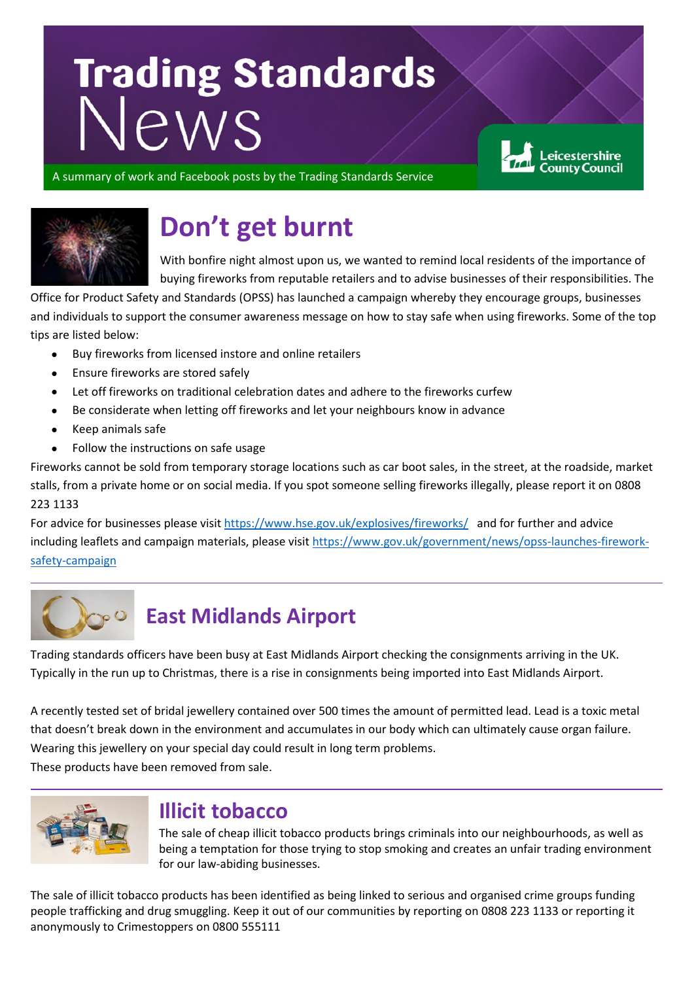# Trading Standards

eicestershire

A summary of work and Facebook posts by the Trading Standards Service



# **Don't get burnt**

With bonfire night almost upon us, we wanted to remind local residents of the importance of buying fireworks from reputable retailers and to advise businesses of their responsibilities. The

Office for Product Safety and Standards (OPSS) has launched a campaign whereby they encourage groups, businesses and individuals to support the consumer awareness message on how to stay safe when using fireworks. Some of the top tips are listed below:

- Buy fireworks from licensed instore and online retailers
- Ensure fireworks are stored safely
- Let off fireworks on traditional celebration dates and adhere to the fireworks curfew
- Be considerate when letting off fireworks and let your neighbours know in advance
- Keep animals safe
- Follow the instructions on safe usage

Fireworks cannot be sold from temporary storage locations such as car boot sales, in the street, at the roadside, market stalls, from a private home or on social media. If you spot someone selling fireworks illegally, please report it on 0808 223 1133

For advice for businesses please visit<https://www.hse.gov.uk/explosives/fireworks/>and for further and advice including leaflets and campaign materials, please visit [https://www.gov.uk/government/news/opss-launches-firework](https://www.gov.uk/government/news/opss-launches-firework-safety-campaign)[safety-campaign](https://www.gov.uk/government/news/opss-launches-firework-safety-campaign) 



## **East Midlands Airport**

Trading standards officers have been busy at East Midlands Airport checking the consignments arriving in the UK. Typically in the run up to Christmas, there is a rise in consignments being imported into East Midlands Airport.

A recently tested set of bridal jewellery contained over 500 times the amount of permitted lead. Lead is a toxic metal that doesn't break down in the environment and accumulates in our body which can ultimately cause organ failure. Wearing this jewellery on your special day could result in long term problems. These products have been removed from sale.



#### **Illicit tobacco**

The sale of cheap illicit tobacco products brings criminals into our neighbourhoods, as well as being a temptation for those trying to stop smoking and creates an unfair trading environment for our law-abiding businesses.

The sale of illicit tobacco products has been identified as being linked to serious and organised crime groups funding people trafficking and drug smuggling. Keep it out of our communities by reporting on 0808 223 1133 or reporting it anonymously to Crimestoppers on 0800 555111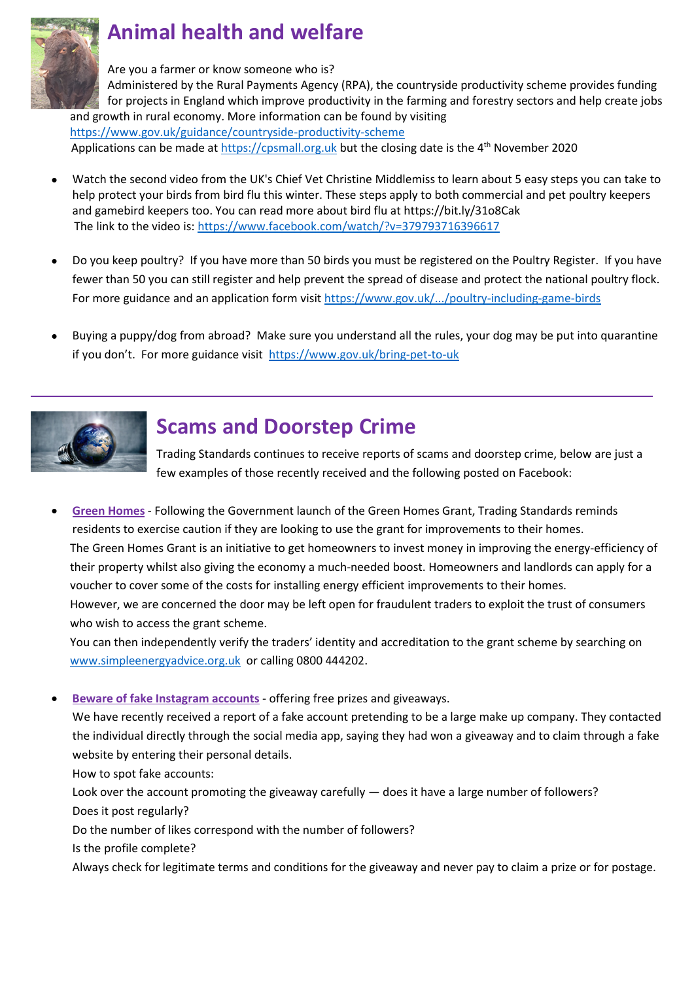

# **Animal health and welfare**

Are you a farmer or know someone who is?

Administered by the Rural Payments Agency (RPA), the countryside productivity scheme provides funding for projects in England which improve productivity in the farming and forestry sectors and help create jobs and growth in rural economy. More information can be found by visiting <https://www.gov.uk/guidance/countryside-productivity-scheme>

Applications can be made a[t https://cpsmall.org.uk b](https://cpsmall.org.uk/)ut the closing date is the 4<sup>th</sup> November 2020

- Watch the second video from the UK's Chief Vet Christine Middlemiss to learn about 5 easy steps you can take to help protect your birds from bird flu this winter. These steps apply to both commercial and pet poultry keepers and gamebird keepers too. You can read more about bird flu at https://bit.ly/31o8Cak The link to the video is[: https://www.facebook.com/watch/?v=379793716396617](https://www.facebook.com/watch/?v=379793716396617)
- Do you keep poultry? If you have more than 50 birds you must be registered on the Poultry Register. If you have fewer than 50 you can still register and help prevent the spread of disease and protect the national poultry flock. For more guidance and an application form visit<https://www.gov.uk/.../poultry-including-game-birds>
- Buying a puppy/dog from abroad? Make sure you understand all the rules, your dog may be put into quarantine if you don't. For more guidance visit<https://www.gov.uk/bring-pet-to-uk>



### **Scams and Doorstep Crime**

Trading Standards continues to receive reports of scams and doorstep crime, below are just a few examples of those recently received and the following posted on Facebook:

• **Green Homes** - Following the Government launch of the Green Homes Grant, Trading Standards reminds residents to exercise caution if they are looking to use the grant for improvements to their homes. The Green Homes Grant is an initiative to get homeowners to invest money in improving the energy-efficiency of their property whilst also giving the economy a much-needed boost. Homeowners and landlords can apply for a voucher to cover some of the costs for installing energy efficient improvements to their homes. However, we are concerned the door may be left open for fraudulent traders to exploit the trust of consumers who wish to access the grant scheme.

You can then independently verify the traders' identity and accreditation to the grant scheme by searching on [www.simpleenergyadvice.org.uk](http://www.simpleenergyadvice.org.uk/) or calling 0800 444202.

• **Beware of fake Instagram accounts** - offering free prizes and giveaways.

We have recently received a report of a fake account pretending to be a large make up company. They contacted the individual directly through the social media app, saying they had won a giveaway and to claim through a fake website by entering their personal details.

How to spot fake accounts:

Look over the account promoting the giveaway carefully — does it have a large number of followers? Does it post regularly?

Do the number of likes correspond with the number of followers?

Is the profile complete?

Always check for legitimate terms and conditions for the giveaway and never pay to claim a prize or for postage.